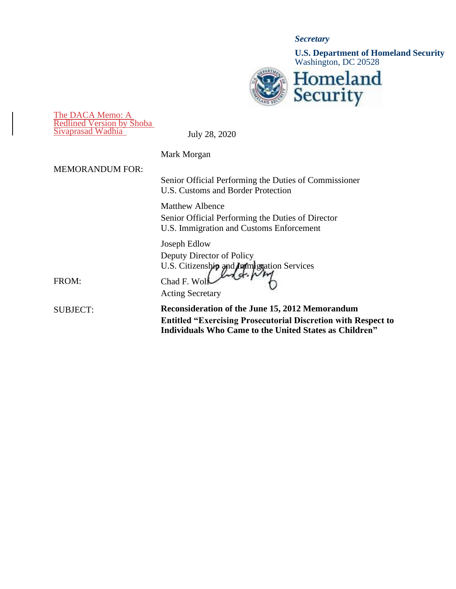# *Secretary*

**U.S. Department of Homeland Security** Washington, DC 20528



| The DACA Memo: A<br><b>Redlined Version by Shoba</b> |                                                                                                                                                                                          |
|------------------------------------------------------|------------------------------------------------------------------------------------------------------------------------------------------------------------------------------------------|
| Sivaprasad Wadhia                                    | July 28, 2020                                                                                                                                                                            |
|                                                      | Mark Morgan                                                                                                                                                                              |
| <b>MEMORANDUM FOR:</b>                               |                                                                                                                                                                                          |
|                                                      | Senior Official Performing the Duties of Commissioner<br>U.S. Customs and Border Protection                                                                                              |
|                                                      | <b>Matthew Albence</b><br>Senior Official Performing the Duties of Director<br>U.S. Immigration and Customs Enforcement                                                                  |
|                                                      | Joseph Edlow<br>Deputy Director of Policy<br>U.S. Citizenship and Immigration Services                                                                                                   |
| FROM:                                                | Chad F. Wol<br><b>Acting Secretary</b>                                                                                                                                                   |
| <b>SUBJECT:</b>                                      | <b>Reconsideration of the June 15, 2012 Memorandum</b><br><b>Entitled "Exercising Prosecutorial Discretion with Respect to</b><br>Individuals Who Came to the United States as Children" |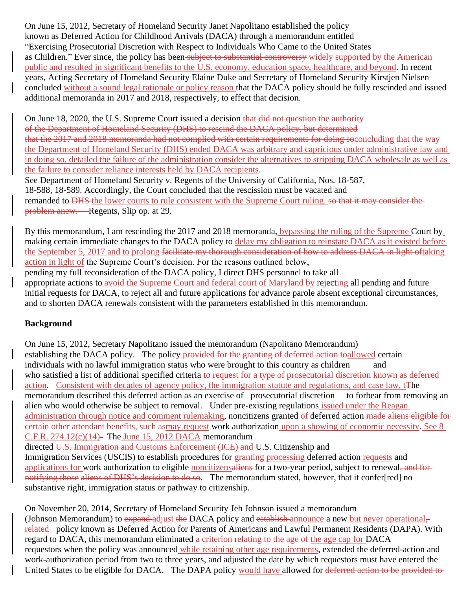On June 15, 2012, Secretary of Homeland Security Janet Napolitano established the policy known as Deferred Action for Childhood Arrivals (DACA) through a memorandum entitled "Exercising Prosecutorial Discretion with Respect to Individuals Who Came to the United States as Children." Ever since, the policy has been subject to substantial controversy widely supported by the American public and resulted in significant benefits to the U.S. economy, education space, healthcare, and beyond. In recent years, Acting Secretary of Homeland Security Elaine Duke and Secretary of Homeland Security Kirstjen Nielsen concluded without a sound legal rationale or policy reason that the DACA policy should be fully rescinded and issued additional memoranda in 2017 and 2018, respectively, to effect that decision.

On June 18, 2020, the U.S. Supreme Court issued a decision that did not question the authority of the Department of Homeland Security (DHS) to rescind the DACA policy, but determined that the 2017 and 2018 memoranda had not complied with certain requirements for doing soconcluding that the way the Department of Homeland Security (DHS) ended DACA was arbitrary and capricious under administrative law and in doing so, detailed the failure of the administration consider the alternatives to stripping DACA wholesale as well as the failure to consider reliance interests held by DACA recipients. See Department of Homeland Security v. Regents of the University of California, Nos. 18-587, 18-588, 18-589. Accordingly, the Court concluded that the rescission must be vacated and remanded to DHS the lower courts to rule consistent with the Supreme Court ruling. so that it may consider the problem anew. Regents, Slip op. at 29.

By this memorandum, I am rescinding the 2017 and 2018 memoranda, bypassing the ruling of the Supreme Court by making certain immediate changes to the DACA policy to delay my obligation to reinstate DACA as it existed before the September 5, 2017 and to prolong facilitate my thorough consideration of how to address DACA in light oftaking action in light of the Supreme Court's decision. For the reasons outlined below, pending my full reconsideration of the DACA policy, I direct DHS personnel to take all appropriate actions to avoid the Supreme Court and federal court of Maryland by rejecting all pending and future initial requests for DACA, to reject all and future applications for advance parole absent exceptional circumstances, and to shorten DACA renewals consistent with the parameters established in this memorandum.

## **Background**

On June 15, 2012, Secretary Napolitano issued the memorandum (Napolitano Memorandum) establishing the DACA policy. The policy provided for the granting of deferred action toallowed certain individuals with no lawful immigration status who were brought to this country as children and who satisfied a list of additional specified criteria to request for a type of prosecutorial discretion known as deferred action. Consistent with decades of agency policy, the immigration statute and regulations, and case law, t<sup>The</sup> memorandum described this deferred action as an exercise of prosecutorial discretion to forbear from removing an alien who would otherwise be subject to removal. Under pre-existing regulations issued under the Reagan administration through notice and comment rulemaking, noncitizens granted of deferred action made aliens eligible for certain other attendant benefits, such asmay request work authorization upon a showing of economic necessity. See 8 C.F.R.  $274.12(c)(14)$ - The June 15, 2012 DACA memorandum directed U.S. Immigration and Customs Enforcement (ICE) and U.S. Citizenship and Immigration Services (USCIS) to establish procedures for granting processing deferred action requests and applications for work authorization to eligible noncitizensaliens for a two-year period, subject to renewal, and fornotifying those aliens of DHS's decision to do so. The memorandum stated, however, that it confer[red] no substantive right, immigration status or pathway to citizenship.

On November 20, 2014, Secretary of Homeland Security Jeh Johnson issued a memorandum (Johnson Memorandum) to expand-adjust the DACA policy and establish announce a new but never operational, related policy known as Deferred Action for Parents of Americans and Lawful Permanent Residents (DAPA). With regard to DACA, this memorandum eliminated a criterion relating to the age of the age cap for DACA requestors when the policy was announced while retaining other age requirements, extended the deferred-action and work-authorization period from two to three years, and adjusted the date by which requestors must have entered the United States to be eligible for DACA. The DAPA policy would have allowed for deferred action to be provided to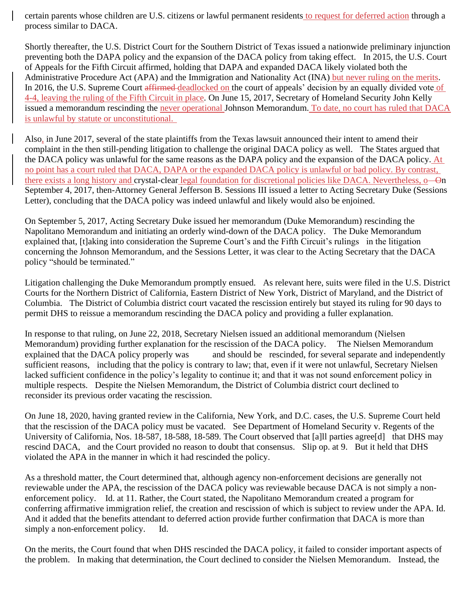certain parents whose children are U.S. citizens or lawful permanent residents to request for deferred action through a process similar to DACA.

Shortly thereafter, the U.S. District Court for the Southern District of Texas issued a nationwide preliminary injunction preventing both the DAPA policy and the expansion of the DACA policy from taking effect. In 2015, the U.S. Court of Appeals for the Fifth Circuit affirmed, holding that DAPA and expanded DACA likely violated both the Administrative Procedure Act (APA) and the Immigration and Nationality Act (INA) but never ruling on the merits. In 2016, the U.S. Supreme Court affirmed deadlocked on the court of appeals' decision by an equally divided vote of 4-4, leaving the ruling of the Fifth Circuit in place. On June 15, 2017, Secretary of Homeland Security John Kelly issued a memorandum rescinding the never operational Johnson Memorandum. To date, no court has ruled that DACA is unlawful by statute or unconstitutional.

Also, in June 2017, several of the state plaintiffs from the Texas lawsuit announced their intent to amend their complaint in the then still-pending litigation to challenge the original DACA policy as well. The States argued that the DACA policy was unlawful for the same reasons as the DAPA policy and the expansion of the DACA policy. At no point has a court ruled that DACA, DAPA or the expanded DACA policy is unlawful or bad policy. By contrast, there exists a long history and crystal-clear legal foundation for discretional policies like DACA. Nevertheless, o-On September 4, 2017, then-Attorney General Jefferson B. Sessions III issued a letter to Acting Secretary Duke (Sessions Letter), concluding that the DACA policy was indeed unlawful and likely would also be enjoined.

On September 5, 2017, Acting Secretary Duke issued her memorandum (Duke Memorandum) rescinding the Napolitano Memorandum and initiating an orderly wind-down of the DACA policy. The Duke Memorandum explained that, [t]aking into consideration the Supreme Court's and the Fifth Circuit's rulings in the litigation concerning the Johnson Memorandum, and the Sessions Letter, it was clear to the Acting Secretary that the DACA policy "should be terminated."

Litigation challenging the Duke Memorandum promptly ensued. As relevant here, suits were filed in the U.S. District Courts for the Northern District of California, Eastern District of New York, District of Maryland, and the District of Columbia. The District of Columbia district court vacated the rescission entirely but stayed its ruling for 90 days to permit DHS to reissue a memorandum rescinding the DACA policy and providing a fuller explanation.

In response to that ruling, on June 22, 2018, Secretary Nielsen issued an additional memorandum (Nielsen Memorandum) providing further explanation for the rescission of the DACA policy. The Nielsen Memorandum explained that the DACA policy properly was and should be rescinded, for several separate and independently sufficient reasons, including that the policy is contrary to law; that, even if it were not unlawful, Secretary Nielsen lacked sufficient confidence in the policy's legality to continue it; and that it was not sound enforcement policy in multiple respects. Despite the Nielsen Memorandum, the District of Columbia district court declined to reconsider its previous order vacating the rescission.

On June 18, 2020, having granted review in the California, New York, and D.C. cases, the U.S. Supreme Court held that the rescission of the DACA policy must be vacated. See Department of Homeland Security v. Regents of the University of California, Nos. 18-587, 18-588, 18-589. The Court observed that [a]ll parties agree[d] that DHS may rescind DACA, and the Court provided no reason to doubt that consensus. Slip op. at 9. But it held that DHS violated the APA in the manner in which it had rescinded the policy.

As a threshold matter, the Court determined that, although agency non-enforcement decisions are generally not reviewable under the APA, the rescission of the DACA policy was reviewable because DACA is not simply a nonenforcement policy. Id. at 11. Rather, the Court stated, the Napolitano Memorandum created a program for conferring affirmative immigration relief, the creation and rescission of which is subject to review under the APA. Id. And it added that the benefits attendant to deferred action provide further confirmation that DACA is more than simply a non-enforcement policy. Id.

On the merits, the Court found that when DHS rescinded the DACA policy, it failed to consider important aspects of the problem. In making that determination, the Court declined to consider the Nielsen Memorandum. Instead, the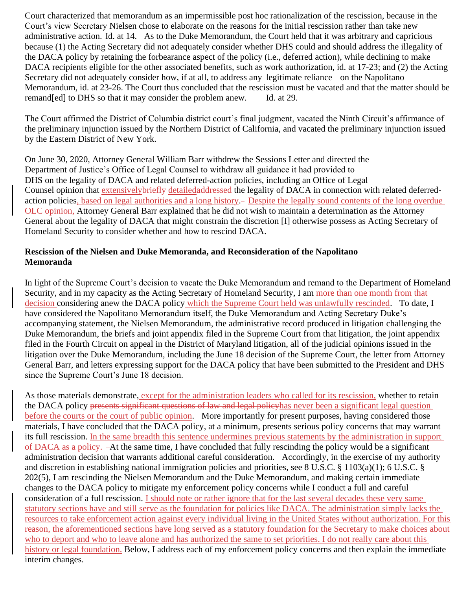Court characterized that memorandum as an impermissible post hoc rationalization of the rescission, because in the Court's view Secretary Nielsen chose to elaborate on the reasons for the initial rescission rather than take new administrative action. Id. at 14. As to the Duke Memorandum, the Court held that it was arbitrary and capricious because (1) the Acting Secretary did not adequately consider whether DHS could and should address the illegality of the DACA policy by retaining the forbearance aspect of the policy (i.e., deferred action), while declining to make DACA recipients eligible for the other associated benefits, such as work authorization, id. at 17-23; and (2) the Acting Secretary did not adequately consider how, if at all, to address any legitimate reliance on the Napolitano Memorandum, id. at 23-26. The Court thus concluded that the rescission must be vacated and that the matter should be remand[ed] to DHS so that it may consider the problem anew. Id. at 29.

The Court affirmed the District of Columbia district court's final judgment, vacated the Ninth Circuit's affirmance of the preliminary injunction issued by the Northern District of California, and vacated the preliminary injunction issued by the Eastern District of New York.

On June 30, 2020, Attorney General William Barr withdrew the Sessions Letter and directed the Department of Justice's Office of Legal Counsel to withdraw all guidance it had provided to DHS on the legality of DACA and related deferred-action policies, including an Office of Legal Counsel opinion that extensivelybriefly detailedaddressed the legality of DACA in connection with related deferredaction policies, based on legal authorities and a long history. Despite the legally sound contents of the long overdue OLC opinion, Attorney General Barr explained that he did not wish to maintain a determination as the Attorney General about the legality of DACA that might constrain the discretion [I] otherwise possess as Acting Secretary of Homeland Security to consider whether and how to rescind DACA.

### **Rescission of the Nielsen and Duke Memoranda, and Reconsideration of the Napolitano Memoranda**

In light of the Supreme Court's decision to vacate the Duke Memorandum and remand to the Department of Homeland Security, and in my capacity as the Acting Secretary of Homeland Security, I am more than one month from that decision considering anew the DACA policy which the Supreme Court held was unlawfully rescinded. To date, I have considered the Napolitano Memorandum itself, the Duke Memorandum and Acting Secretary Duke's accompanying statement, the Nielsen Memorandum, the administrative record produced in litigation challenging the Duke Memorandum, the briefs and joint appendix filed in the Supreme Court from that litigation, the joint appendix filed in the Fourth Circuit on appeal in the District of Maryland litigation, all of the judicial opinions issued in the litigation over the Duke Memorandum, including the June 18 decision of the Supreme Court, the letter from Attorney General Barr, and letters expressing support for the DACA policy that have been submitted to the President and DHS since the Supreme Court's June 18 decision.

As those materials demonstrate, except for the administration leaders who called for its rescission, whether to retain the DACA policy presents significant questions of law and legal policyhas never been a significant legal question before the courts or the court of public opinion. More importantly for present purposes, having considered those materials, I have concluded that the DACA policy, at a minimum, presents serious policy concerns that may warrant its full rescission. In the same breadth this sentence undermines previous statements by the administration in support of DACA as a policy.  $-At$  the same time, I have concluded that fully rescinding the policy would be a significant administration decision that warrants additional careful consideration. Accordingly, in the exercise of my authority and discretion in establishing national immigration policies and priorities, see 8 U.S.C. § 1103(a)(1); 6 U.S.C. § 202(5), I am rescinding the Nielsen Memorandum and the Duke Memorandum, and making certain immediate changes to the DACA policy to mitigate my enforcement policy concerns while I conduct a full and careful consideration of a full rescission. I should note or rather ignore that for the last several decades these very same statutory sections have and still serve as the foundation for policies like DACA. The administration simply lacks the resources to take enforcement action against every individual living in the United States without authorization. For this reason, the aforementioned sections have long served as a statutory foundation for the Secretary to make choices about who to deport and who to leave alone and has authorized the same to set priorities. I do not really care about this history or legal foundation. Below, I address each of my enforcement policy concerns and then explain the immediate interim changes.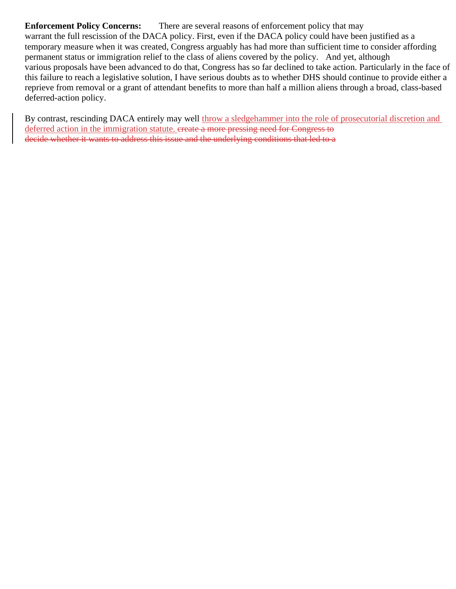**Enforcement Policy Concerns:** There are several reasons of enforcement policy that may warrant the full rescission of the DACA policy. First, even if the DACA policy could have been justified as a temporary measure when it was created, Congress arguably has had more than sufficient time to consider affording permanent status or immigration relief to the class of aliens covered by the policy. And yet, although various proposals have been advanced to do that, Congress has so far declined to take action. Particularly in the face of this failure to reach a legislative solution, I have serious doubts as to whether DHS should continue to provide either a reprieve from removal or a grant of attendant benefits to more than half a million aliens through a broad, class-based deferred-action policy.

By contrast, rescinding DACA entirely may well throw a sledgehammer into the role of prosecutorial discretion and deferred action in the immigration statute. create a more pressing need for Congress to decide whether it wants to address this issue and the underlying conditions that led to a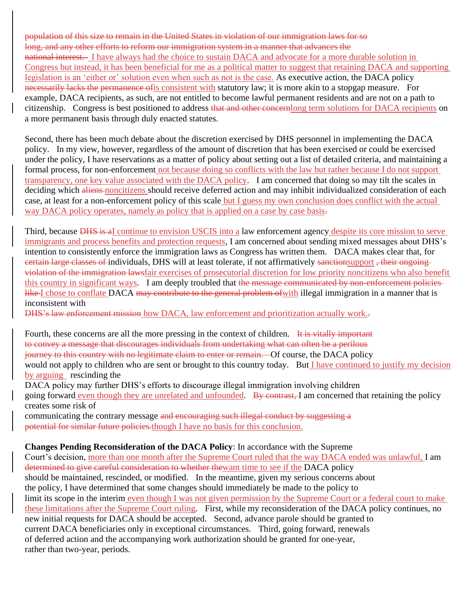population of this size to remain in the United States in violation of our immigration laws for so long, and any other efforts to reform our immigration system in a manner that advances the national interest. I have always had the choice to sustain DACA and advocate for a more durable solution in Congress but instead, it has been beneficial for me as a political matter to suggest that retaining DACA and supporting legislation is an 'either or' solution even when such as not is the case. As executive action, the DACA policy necessarily lacks the permanence of is consistent with statutory law; it is more akin to a stopgap measure. For example, DACA recipients, as such, are not entitled to become lawful permanent residents and are not on a path to citizenship. Congress is best positioned to address that and other concernlong term solutions for DACA recipients on a more permanent basis through duly enacted statutes.

Second, there has been much debate about the discretion exercised by DHS personnel in implementing the DACA policy. In my view, however, regardless of the amount of discretion that has been exercised or could be exercised under the policy, I have reservations as a matter of policy about setting out a list of detailed criteria, and maintaining a formal process, for non-enforcement not because doing so conflicts with the law but rather because I do not support transparency, one key value associated with the DACA policy. I am concerned that doing so may tilt the scales in deciding which aliens noncitizens should receive deferred action and may inhibit individualized consideration of each case, at least for a non-enforcement policy of this scale but I guess my own conclusion does conflict with the actual way DACA policy operates, namely as policy that is applied on a case by case basis-

Third, because **DHS** is aI continue to envision USCIS into a law enforcement agency despite its core mission to serve immigrants and process benefits and protection requests, I am concerned about sending mixed messages about DHS's intention to consistently enforce the immigration laws as Congress has written them. DACA makes clear that, for certain large classes of individuals, DHS will at least tolerate, if not affirmatively sanctionsupport , their ongoing violation of the immigration lawsfair exercises of prosecutorial discretion for low priority noncitizens who also benefit this country in significant ways. I am deeply troubled that the message communicated by non-enforcement policies like I chose to conflate DACA may contribute to the general problem of with illegal immigration in a manner that is inconsistent with

DHS's law enforcement mission how DACA, law enforcement and prioritization actually work.

Fourth, these concerns are all the more pressing in the context of children. It is vitally important to convey a message that discourages individuals from undertaking what can often be a perilous journey to this country with no legitimate claim to enter or remain. Of course, the DACA policy would not apply to children who are sent or brought to this country today. But I have continued to justify my decision by arguing rescinding the

DACA policy may further DHS's efforts to discourage illegal immigration involving children going forward even though they are unrelated and unfounded. By contrast, I am concerned that retaining the policy creates some risk of

communicating the contrary message and encouraging such illegal conduct by suggesting a potential for similar future policies.though I have no basis for this conclusion.

### **Changes Pending Reconsideration of the DACA Policy**: In accordance with the Supreme

Court's decision, more than one month after the Supreme Court ruled that the way DACA ended was unlawful, I am determined to give careful consideration to whether thewant time to see if the DACA policy should be maintained, rescinded, or modified. In the meantime, given my serious concerns about the policy, I have determined that some changes should immediately be made to the policy to limit its scope in the interim even though I was not given permission by the Supreme Court or a federal court to make these limitations after the Supreme Court ruling. First, while my reconsideration of the DACA policy continues, no new initial requests for DACA should be accepted. Second, advance parole should be granted to current DACA beneficiaries only in exceptional circumstances. Third, going forward, renewals of deferred action and the accompanying work authorization should be granted for one-year, rather than two-year, periods.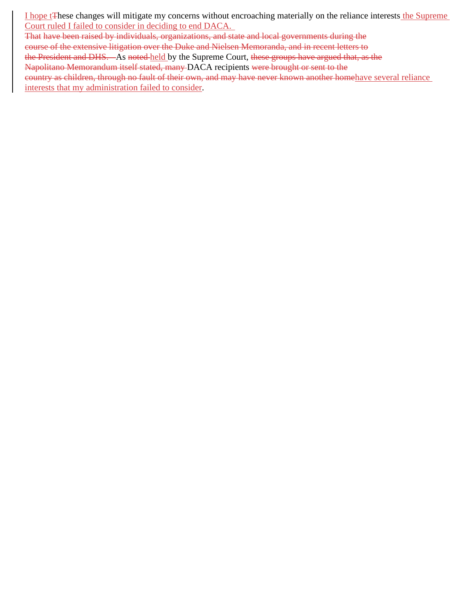I hope tThese changes will mitigate my concerns without encroaching materially on the reliance interests the Supreme Court ruled I failed to consider in deciding to end DACA.

That have been raised by individuals, organizations, and state and local governments during the course of the extensive litigation over the Duke and Nielsen Memoranda, and in recent letters to the President and DHS. As noted held by the Supreme Court, these groups have argued that, as the Napolitano Memorandum itself stated, many DACA recipients were brought or sent to the country as children, through no fault of their own, and may have never known another homehave several reliance interests that my administration failed to consider.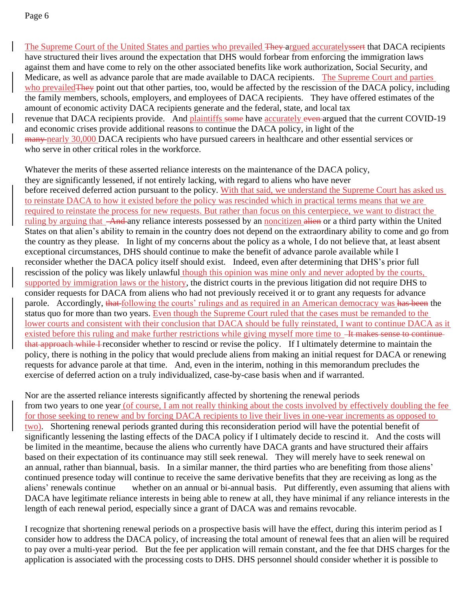The Supreme Court of the United States and parties who prevailed <del>They argued</del> accuratelyssert that DACA recipients have structured their lives around the expectation that DHS would forbear from enforcing the immigration laws against them and have come to rely on the other associated benefits like work authorization, Social Security, and Medicare, as well as advance parole that are made available to DACA recipients. The Supreme Court and parties who prevailed They point out that other parties, too, would be affected by the rescission of the DACA policy, including the family members, schools, employers, and employees of DACA recipients. They have offered estimates of the amount of economic activity DACA recipients generate and the federal, state, and local tax revenue that DACA recipients provide. And plaintiffs some have accurately even argued that the current COVID-19 and economic crises provide additional reasons to continue the DACA policy, in light of the many nearly 30,000 DACA recipients who have pursued careers in healthcare and other essential services or who serve in other critical roles in the workforce.

Whatever the merits of these asserted reliance interests on the maintenance of the DACA policy, they are significantly lessened, if not entirely lacking, with regard to aliens who have never before received deferred action pursuant to the policy. With that said, we understand the Supreme Court has asked us to reinstate DACA to how it existed before the policy was rescinded which in practical terms means that we are required to reinstate the process for new requests. But rather than focus on this centerpiece, we want to distract the ruling by arguing that  $\overline{\mathbf{And}}$ -any reliance interests possessed by an noncitizen alien or a third party within the United States on that alien's ability to remain in the country does not depend on the extraordinary ability to come and go from the country as they please. In light of my concerns about the policy as a whole, I do not believe that, at least absent exceptional circumstances, DHS should continue to make the benefit of advance parole available while I reconsider whether the DACA policy itself should exist. Indeed, even after determining that DHS's prior full rescission of the policy was likely unlawful though this opinion was mine only and never adopted by the courts, supported by immigration laws or the history, the district courts in the previous litigation did not require DHS to consider requests for DACA from aliens who had not previously received it or to grant any requests for advance parole. Accordingly, that following the courts' rulings and as required in an American democracy was has been the status quo for more than two years. Even though the Supreme Court ruled that the cases must be remanded to the lower courts and consistent with their conclusion that DACA should be fully reinstated, I want to continue DACA as it existed before this ruling and make further restrictions while giving myself more time to  $-$ It makes sense to continuethat approach while I reconsider whether to rescind or revise the policy. If I ultimately determine to maintain the policy, there is nothing in the policy that would preclude aliens from making an initial request for DACA or renewing requests for advance parole at that time. And, even in the interim, nothing in this memorandum precludes the exercise of deferred action on a truly individualized, case-by-case basis when and if warranted.

Nor are the asserted reliance interests significantly affected by shortening the renewal periods from two years to one year (of course, I am not really thinking about the costs involved by effectively doubling the fee for those seeking to renew and by forcing DACA recipients to live their lives in one-year increments as opposed to two). Shortening renewal periods granted during this reconsideration period will have the potential benefit of significantly lessening the lasting effects of the DACA policy if I ultimately decide to rescind it. And the costs will be limited in the meantime, because the aliens who currently have DACA grants and have structured their affairs based on their expectation of its continuance may still seek renewal. They will merely have to seek renewal on an annual, rather than biannual, basis. In a similar manner, the third parties who are benefiting from those aliens' continued presence today will continue to receive the same derivative benefits that they are receiving as long as the aliens' renewals continue whether on an annual or bi-annual basis. Put differently, even assuming that aliens with DACA have legitimate reliance interests in being able to renew at all, they have minimal if any reliance interests in the length of each renewal period, especially since a grant of DACA was and remains revocable.

I recognize that shortening renewal periods on a prospective basis will have the effect, during this interim period as I consider how to address the DACA policy, of increasing the total amount of renewal fees that an alien will be required to pay over a multi-year period. But the fee per application will remain constant, and the fee that DHS charges for the application is associated with the processing costs to DHS. DHS personnel should consider whether it is possible to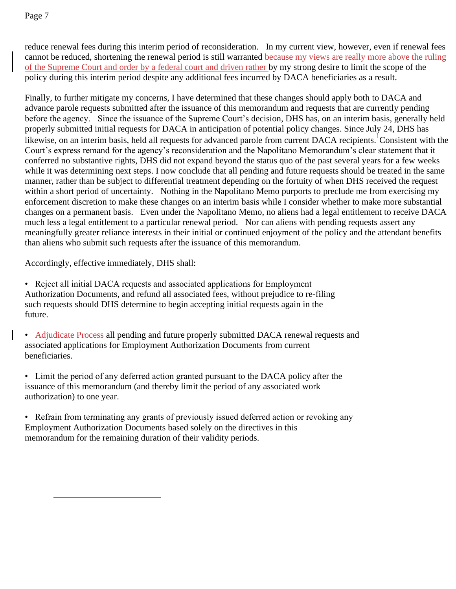Page 7

reduce renewal fees during this interim period of reconsideration. In my current view, however, even if renewal fees cannot be reduced, shortening the renewal period is still warranted because my views are really more above the ruling of the Supreme Court and order by a federal court and driven rather by my strong desire to limit the scope of the policy during this interim period despite any additional fees incurred by DACA beneficiaries as a result.

Finally, to further mitigate my concerns, I have determined that these changes should apply both to DACA and advance parole requests submitted after the issuance of this memorandum and requests that are currently pending before the agency. Since the issuance of the Supreme Court's decision, DHS has, on an interim basis, generally held properly submitted initial requests for DACA in anticipation of potential policy changes. Since July 24, DHS has likewise, on an interim basis, held all requests for advanced parole from current DACA recipients.<sup>1</sup>Consistent with the Court's express remand for the agency's reconsideration and the Napolitano Memorandum's clear statement that it conferred no substantive rights, DHS did not expand beyond the status quo of the past several years for a few weeks while it was determining next steps. I now conclude that all pending and future requests should be treated in the same manner, rather than be subject to differential treatment depending on the fortuity of when DHS received the request within a short period of uncertainty. Nothing in the Napolitano Memo purports to preclude me from exercising my enforcement discretion to make these changes on an interim basis while I consider whether to make more substantial changes on a permanent basis. Even under the Napolitano Memo, no aliens had a legal entitlement to receive DACA much less a legal entitlement to a particular renewal period. Nor can aliens with pending requests assert any meaningfully greater reliance interests in their initial or continued enjoyment of the policy and the attendant benefits than aliens who submit such requests after the issuance of this memorandum.

Accordingly, effective immediately, DHS shall:

• Reject all initial DACA requests and associated applications for Employment Authorization Documents, and refund all associated fees, without prejudice to re-filing such requests should DHS determine to begin accepting initial requests again in the future.

• Adjudicate Process all pending and future properly submitted DACA renewal requests and associated applications for Employment Authorization Documents from current beneficiaries.

• Limit the period of any deferred action granted pursuant to the DACA policy after the issuance of this memorandum (and thereby limit the period of any associated work authorization) to one year.

• Refrain from terminating any grants of previously issued deferred action or revoking any Employment Authorization Documents based solely on the directives in this memorandum for the remaining duration of their validity periods.